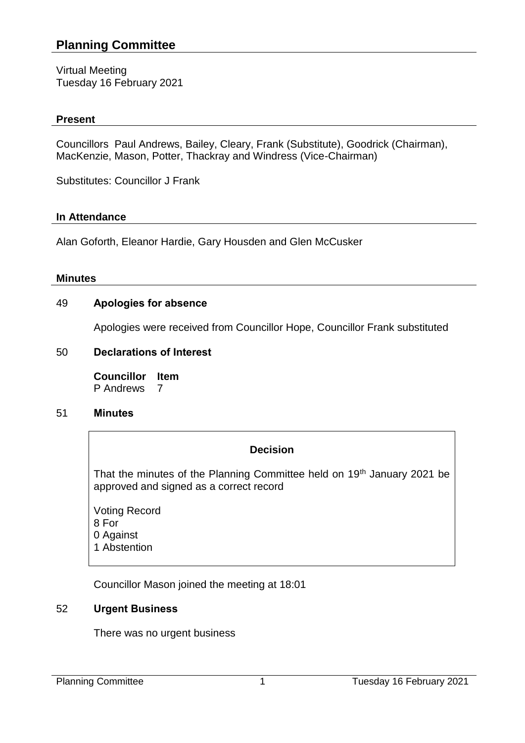# **Planning Committee**

Virtual Meeting Tuesday 16 February 2021

### **Present**

Councillors Paul Andrews, Bailey, Cleary, Frank (Substitute), Goodrick (Chairman), MacKenzie, Mason, Potter, Thackray and Windress (Vice-Chairman)

Substitutes: Councillor J Frank

### **In Attendance**

Alan Goforth, Eleanor Hardie, Gary Housden and Glen McCusker

### **Minutes**

## 49 **Apologies for absence**

Apologies were received from Councillor Hope, Councillor Frank substituted

## 50 **Declarations of Interest**

**Councillor Item** P Andrews 7

### 51 **Minutes**

### **Decision**

That the minutes of the Planning Committee held on 19<sup>th</sup> January 2021 be approved and signed as a correct record

Voting Record 8 For 0 Against 1 Abstention

Councillor Mason joined the meeting at 18:01

## 52 **Urgent Business**

There was no urgent business